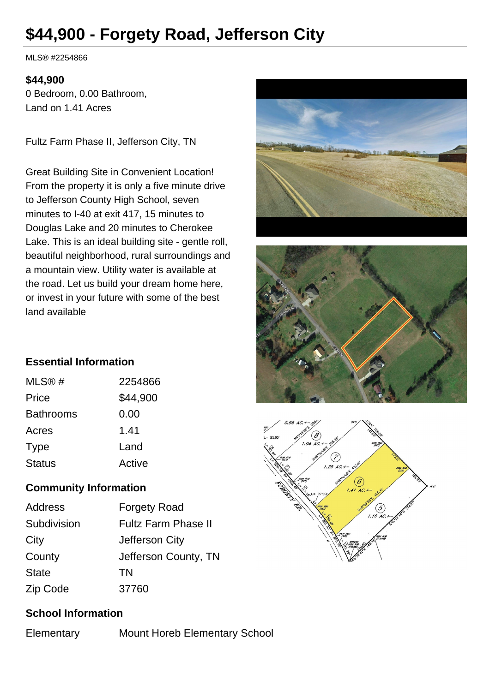# **\$44,900 - Forgety Road, Jefferson City**

MLS® #2254866

#### **\$44,900**

0 Bedroom, 0.00 Bathroom, Land on 1.41 Acres

Fultz Farm Phase II, Jefferson City, TN

Great Building Site in Convenient Location! From the property it is only a five minute drive to Jefferson County High School, seven minutes to I-40 at exit 417, 15 minutes to Douglas Lake and 20 minutes to Cherokee Lake. This is an ideal building site - gentle roll, beautiful neighborhood, rural surroundings and a mountain view. Utility water is available at the road. Let us build your dream home here, or invest in your future with some of the best land available







## **Essential Information**

| 2254866  |
|----------|
| \$44,900 |
| 0.00     |
| 1.41     |
| Land     |
| Active   |
|          |

# **Community Information**

| Address      | <b>Forgety Road</b>        |
|--------------|----------------------------|
| Subdivision  | <b>Fultz Farm Phase II</b> |
| City         | Jefferson City             |
| County       | Jefferson County, TN       |
| <b>State</b> | TN                         |
| Zip Code     | 37760                      |

## **School Information**

Elementary Mount Horeb Elementary School